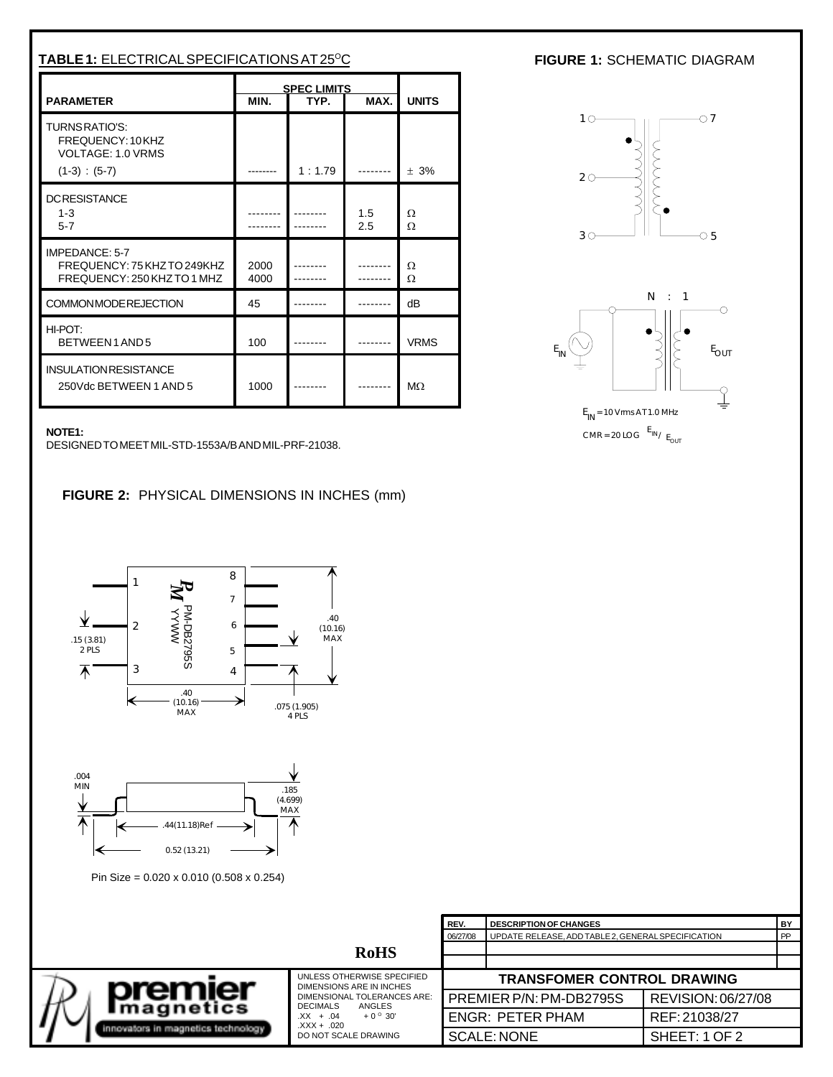| TABLE 1: ELECTRICAL SPECIFICATIONS AT 25°C                                   |                                            |        |              |             |  |
|------------------------------------------------------------------------------|--------------------------------------------|--------|--------------|-------------|--|
| <b>PARAMETER</b>                                                             | <b>SPEC LIMITS</b><br>MIN.<br>MAX.<br>TYP. |        | <b>UNITS</b> |             |  |
| TURNSRATIO'S:<br>FREQUENCY: 10 KHZ<br>VOLTAGE: 1.0 VRMS<br>$(1-3) : (5-7)$   |                                            | 1:1.79 |              | $+3%$       |  |
| <b>DCRESISTANCE</b><br>$1 - 3$<br>$5 - 7$                                    |                                            |        | 1.5<br>2.5   | Ω<br>Ω      |  |
| IMPEDANCE: 5-7<br>FREQUENCY: 75 KHZ TO 249KHZ<br>FREQUENCY: 250 KHZ TO 1 MHZ | 2000<br>4000                               |        |              | Ω<br>Ω      |  |
| <b>COMMONMODEREJECTION</b>                                                   | 45                                         |        |              | dB          |  |
| HI-POT:<br>BETWEEN1AND5                                                      | 100                                        |        |              | <b>VRMS</b> |  |
| <b>INSULATION RESISTANCE</b><br>250Vdc BETWEEN 1 AND 5                       | 1000                                       |        |              | $M\Omega$   |  |

## **FIGURE 1: SCHEMATIC DIAGRAM**



**NOTE1:**

DESIGNED TO MEET MIL-STD-1553A/B AND MIL-PRF-21038.

**FIGURE 2:** PHYSICAL DIMENSIONS IN INCHES (mm)





Pin Size = 0.020 x 0.010 (0.508 x 0.254)

|                                                                  |                                                                                                                                                                                             | <sup>1</sup> REV.                 | <b>DESCRIPTION OF CHANGES</b>                      |                    |    |
|------------------------------------------------------------------|---------------------------------------------------------------------------------------------------------------------------------------------------------------------------------------------|-----------------------------------|----------------------------------------------------|--------------------|----|
|                                                                  |                                                                                                                                                                                             | 06/27/08                          | UPDATE RELEASE, ADD TABLE 2, GENERAL SPECIFICATION |                    | PP |
| <b>RoHS</b>                                                      |                                                                                                                                                                                             |                                   |                                                    |                    |    |
|                                                                  |                                                                                                                                                                                             |                                   |                                                    |                    |    |
| orem.<br><b>Imagnetics</b><br>innovators in magnetics technology | UNLESS OTHERWISE SPECIFIED<br>DIMENSIONS ARE IN INCHES<br>DIMENSIONAL TOLERANCES ARE:<br><b>DECIMALS</b><br>ANGLES<br>$+0^{\circ}30'$<br>$XX + .04$<br>$XXX + .020$<br>DO NOT SCALE DRAWING | <b>TRANSFOMER CONTROL DRAWING</b> |                                                    |                    |    |
|                                                                  |                                                                                                                                                                                             |                                   | PREMIER P/N: PM-DB2795S                            | REVISION: 06/27/08 |    |
|                                                                  |                                                                                                                                                                                             |                                   | <b>ENGR: PETER PHAM</b>                            | REF: 21038/27      |    |
|                                                                  |                                                                                                                                                                                             |                                   | <b>SCALE: NONE</b>                                 | SHEET: 1 OF 2      |    |